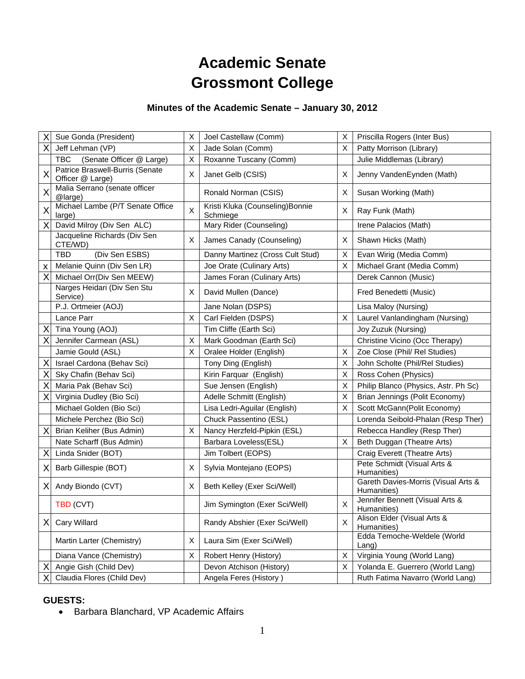# **Academic Senate Grossmont College**

# **Minutes of the Academic Senate – January 30, 2012**

| X | Sue Gonda (President)                               | х | Joel Castellaw (Comm)                        | Χ        | Priscilla Rogers (Inter Bus)                       |
|---|-----------------------------------------------------|---|----------------------------------------------|----------|----------------------------------------------------|
| X | Jeff Lehman (VP)                                    | X | Jade Solan (Comm)                            | X        | Patty Morrison (Library)                           |
|   | (Senate Officer @ Large)<br><b>TBC</b>              | X | Roxanne Tuscany (Comm)                       |          | Julie Middlemas (Library)                          |
| Χ | Patrice Braswell-Burris (Senate<br>Officer @ Large) | X | Janet Gelb (CSIS)                            | Χ        | Jenny VandenEynden (Math)                          |
| Χ | Malia Serrano (senate officer<br>@large)            |   | Ronald Norman (CSIS)                         | Χ        | Susan Working (Math)                               |
| X | Michael Lambe (P/T Senate Office<br>large)          | X | Kristi Kluka (Counseling) Bonnie<br>Schmiege | $\times$ | Ray Funk (Math)                                    |
| X | David Milroy (Div Sen ALC)                          |   | Mary Rider (Counseling)                      |          | Irene Palacios (Math)                              |
|   | Jacqueline Richards (Div Sen<br>CTE/WD)             | X | James Canady (Counseling)                    | Χ        | Shawn Hicks (Math)                                 |
|   | <b>TBD</b><br>(Div Sen ESBS)                        |   | Danny Martinez (Cross Cult Stud)             | Χ        | Evan Wirig (Media Comm)                            |
| X | Melanie Quinn (Div Sen LR)                          |   | Joe Orate (Culinary Arts)                    | X        | Michael Grant (Media Comm)                         |
| X | Michael Orr(Div Sen MEEW)                           |   | James Foran (Culinary Arts)                  |          | Derek Cannon (Music)                               |
|   | Narges Heidari (Div Sen Stu<br>Service)             | X | David Mullen (Dance)                         |          | Fred Benedetti (Music)                             |
|   | P.J. Ortmeier (AOJ)                                 |   | Jane Nolan (DSPS)                            |          | Lisa Maloy (Nursing)                               |
|   | Lance Parr                                          | X | Carl Fielden (DSPS)                          | X        | Laurel Vanlandingham (Nursing)                     |
| Χ | Tina Young (AOJ)                                    |   | Tim Cliffe (Earth Sci)                       |          | Joy Zuzuk (Nursing)                                |
| X | Jennifer Carmean (ASL)                              | X | Mark Goodman (Earth Sci)                     |          | Christine Vicino (Occ Therapy)                     |
|   | Jamie Gould (ASL)                                   | X | Oralee Holder (English)                      | X        | Zoe Close (Phil/ Rel Studies)                      |
| X | Israel Cardona (Behav Sci)                          |   | Tony Ding (English)                          | X        | John Scholte (Phil/Rel Studies)                    |
| X | Sky Chafin (Behav Sci)                              |   | Kirin Farquar (English)                      | X        | Ross Cohen (Physics)                               |
| X | Maria Pak (Behav Sci)                               |   | Sue Jensen (English)                         | X        | Philip Blanco (Physics, Astr. Ph Sc)               |
| X | Virginia Dudley (Bio Sci)                           |   | Adelle Schmitt (English)                     | Χ        | Brian Jennings (Polit Economy)                     |
|   | Michael Golden (Bio Sci)                            |   | Lisa Ledri-Aguilar (English)                 | X        | Scott McGann(Polit Economy)                        |
|   | Michele Perchez (Bio Sci)                           |   | Chuck Passentino (ESL)                       |          | Lorenda Seibold-Phalan (Resp Ther)                 |
| Χ | Brian Keliher (Bus Admin)                           | X | Nancy Herzfeld-Pipkin (ESL)                  |          | Rebecca Handley (Resp Ther)                        |
|   | Nate Scharff (Bus Admin)                            |   | Barbara Loveless(ESL)                        | X        | Beth Duggan (Theatre Arts)                         |
| X | Linda Snider (BOT)                                  |   | Jim Tolbert (EOPS)                           |          | Craig Everett (Theatre Arts)                       |
| X | Barb Gillespie (BOT)                                | X | Sylvia Montejano (EOPS)                      |          | Pete Schmidt (Visual Arts &<br>Humanities)         |
| Χ | Andy Biondo (CVT)                                   | X | Beth Kelley (Exer Sci/Well)                  |          | Gareth Davies-Morris (Visual Arts &<br>Humanities) |
|   | TBD (CVT)                                           |   | Jim Symington (Exer Sci/Well)                | X        | Jennifer Bennett (Visual Arts &<br>Humanities)     |
| X | Cary Willard                                        |   | Randy Abshier (Exer Sci/Well)                | X        | Alison Elder (Visual Arts &<br>Humanities)         |
|   | Martin Larter (Chemistry)                           | X | Laura Sim (Exer Sci/Well)                    |          | Edda Temoche-Weldele (World<br>Lang)               |
|   | Diana Vance (Chemistry)                             | Х | Robert Henry (History)                       | X        | Virginia Young (World Lang)                        |
| Χ | Angie Gish (Child Dev)                              |   | Devon Atchison (History)                     | X        | Yolanda E. Guerrero (World Lang)                   |
| Χ | Claudia Flores (Child Dev)                          |   | Angela Feres (History)                       |          | Ruth Fatima Navarro (World Lang)                   |

# **GUESTS:**

Barbara Blanchard, VP Academic Affairs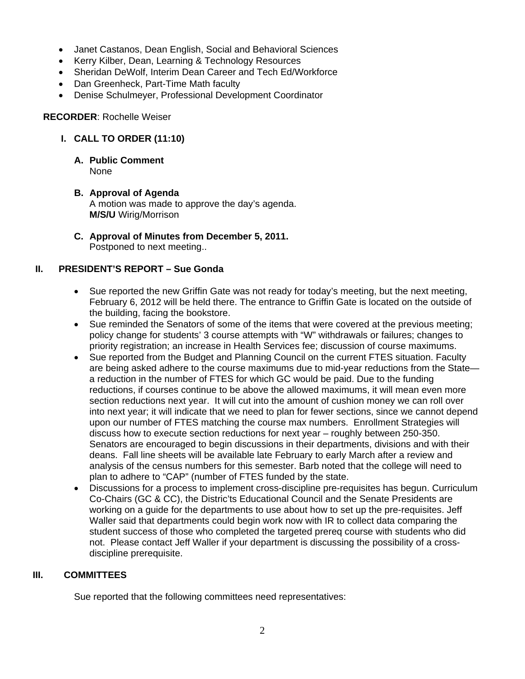- Janet Castanos, Dean English, Social and Behavioral Sciences
- Kerry Kilber, Dean, Learning & Technology Resources
- Sheridan DeWolf, Interim Dean Career and Tech Ed/Workforce
- Dan Greenheck, Part-Time Math faculty
- Denise Schulmeyer, Professional Development Coordinator

### **RECORDER**: Rochelle Weiser

# **I. CALL TO ORDER (11:10)**

#### **A. Public Comment**  None

- **B. Approval of Agenda**  A motion was made to approve the day's agenda. **M/S/U** Wirig/Morrison
- **C. Approval of Minutes from December 5, 2011.**  Postponed to next meeting..

# **II. PRESIDENT'S REPORT – Sue Gonda**

- Sue reported the new Griffin Gate was not ready for today's meeting, but the next meeting, February 6, 2012 will be held there. The entrance to Griffin Gate is located on the outside of the building, facing the bookstore.
- Sue reminded the Senators of some of the items that were covered at the previous meeting; policy change for students' 3 course attempts with "W" withdrawals or failures; changes to priority registration; an increase in Health Services fee; discussion of course maximums.
- Sue reported from the Budget and Planning Council on the current FTES situation. Faculty are being asked adhere to the course maximums due to mid-year reductions from the State a reduction in the number of FTES for which GC would be paid. Due to the funding reductions, if courses continue to be above the allowed maximums, it will mean even more section reductions next year. It will cut into the amount of cushion money we can roll over into next year; it will indicate that we need to plan for fewer sections, since we cannot depend upon our number of FTES matching the course max numbers. Enrollment Strategies will discuss how to execute section reductions for next year – roughly between 250-350. Senators are encouraged to begin discussions in their departments, divisions and with their deans. Fall line sheets will be available late February to early March after a review and analysis of the census numbers for this semester. Barb noted that the college will need to plan to adhere to "CAP" (number of FTES funded by the state.
- Discussions for a process to implement cross-discipline pre-requisites has begun. Curriculum Co-Chairs (GC & CC), the Distric'ts Educational Council and the Senate Presidents are working on a guide for the departments to use about how to set up the pre-requisites. Jeff Waller said that departments could begin work now with IR to collect data comparing the student success of those who completed the targeted prereq course with students who did not. Please contact Jeff Waller if your department is discussing the possibility of a crossdiscipline prerequisite.

# **III. COMMITTEES**

Sue reported that the following committees need representatives: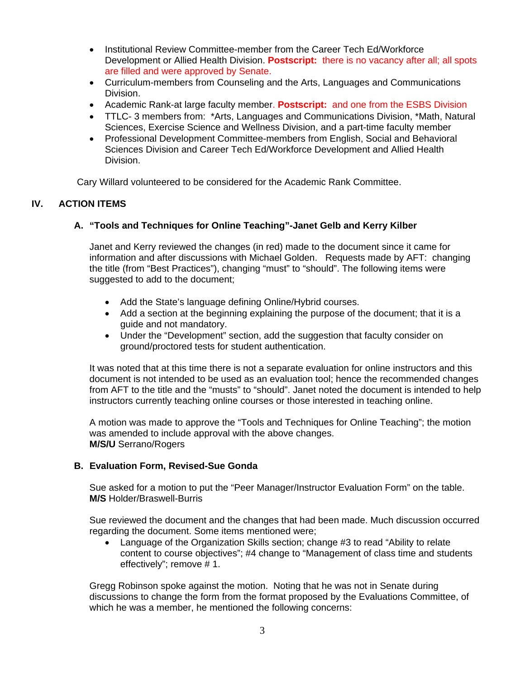- Institutional Review Committee-member from the Career Tech Ed/Workforce Development or Allied Health Division. **Postscript:** there is no vacancy after all; all spots are filled and were approved by Senate.
- Curriculum-members from Counseling and the Arts, Languages and Communications Division.
- Academic Rank-at large faculty member. **Postscript:** and one from the ESBS Division
- TTLC- 3 members from: \*Arts, Languages and Communications Division, \*Math, Natural Sciences, Exercise Science and Wellness Division, and a part-time faculty member
- Professional Development Committee-members from English, Social and Behavioral Sciences Division and Career Tech Ed/Workforce Development and Allied Health Division.

Cary Willard volunteered to be considered for the Academic Rank Committee.

# **IV. ACTION ITEMS**

# **A. "Tools and Techniques for Online Teaching"-Janet Gelb and Kerry Kilber**

Janet and Kerry reviewed the changes (in red) made to the document since it came for information and after discussions with Michael Golden. Requests made by AFT: changing the title (from "Best Practices"), changing "must" to "should". The following items were suggested to add to the document;

- Add the State's language defining Online/Hybrid courses.
- Add a section at the beginning explaining the purpose of the document; that it is a guide and not mandatory.
- Under the "Development" section, add the suggestion that faculty consider on ground/proctored tests for student authentication.

It was noted that at this time there is not a separate evaluation for online instructors and this document is not intended to be used as an evaluation tool; hence the recommended changes from AFT to the title and the "musts" to "should". Janet noted the document is intended to help instructors currently teaching online courses or those interested in teaching online.

A motion was made to approve the "Tools and Techniques for Online Teaching"; the motion was amended to include approval with the above changes. **M/S/U** Serrano/Rogers

# **B. Evaluation Form, Revised-Sue Gonda**

Sue asked for a motion to put the "Peer Manager/Instructor Evaluation Form" on the table. **M/S** Holder/Braswell-Burris

Sue reviewed the document and the changes that had been made. Much discussion occurred regarding the document. Some items mentioned were;

 Language of the Organization Skills section; change #3 to read "Ability to relate content to course objectives"; #4 change to "Management of class time and students effectively"; remove # 1.

Gregg Robinson spoke against the motion. Noting that he was not in Senate during discussions to change the form from the format proposed by the Evaluations Committee, of which he was a member, he mentioned the following concerns: